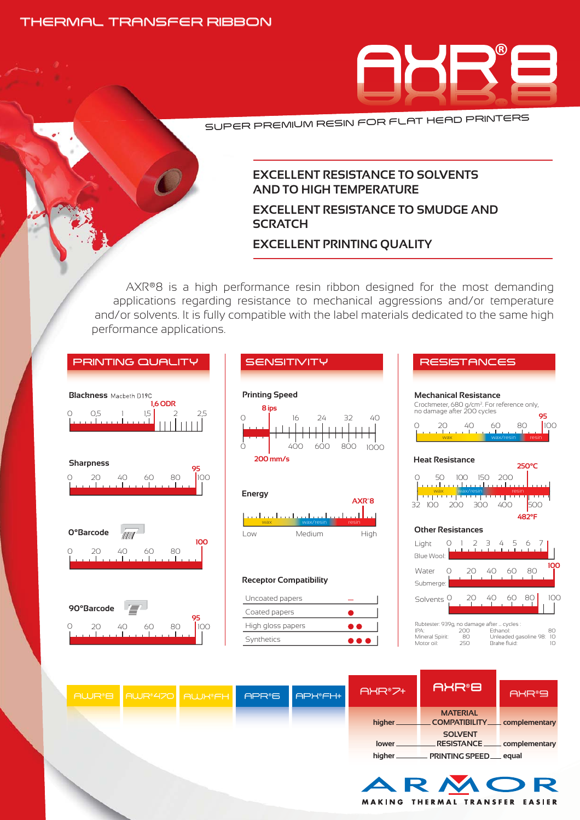#### THERMAL TRANSFER RIBBON



SUPER PREMIUM RESIN FOR FLAT HEAD PRINTERS

#### **EXCELLENT RESISTANCE TO SOLVENTS AND TO HIGH TEMPERATURE**

## **EXCELLENT RESISTANCE TO SMUDGE AND SCRATCH**

#### **EXCELLENT PRINTING QUALITY**

AXR®8 is a high performance resin ribbon designed for the most demanding applications regarding resistance to mechanical aggressions and/or temperature and/or solvents. It is fully compatible with the label materials dedicated to the same high performance applications.

| <b>PRINTING QUALITY</b>                                                  | <b>SENSITIVITY</b>                                                                                        | <b>RESISTANCES</b>                                                                                                                                                                                                                            |
|--------------------------------------------------------------------------|-----------------------------------------------------------------------------------------------------------|-----------------------------------------------------------------------------------------------------------------------------------------------------------------------------------------------------------------------------------------------|
| <b>Blackness</b> Macbeth D19C<br><b>1.6 ODR</b><br>O.5<br>15<br>2.5<br>Ω | <b>Printing Speed</b><br>8 ips<br>$\bigcap$<br>24<br>16<br>32<br>40<br>Ω<br>400<br>600<br>800<br>1000     | <b>Mechanical Resistance</b><br>Crockmeter, 680 g/cm <sup>2</sup> . For reference only,<br>no damage after 200 cycles<br>95<br>100<br>20<br>40<br>60<br>80<br>Ω<br>والمستحيل المستحدث والمستحدث والمستحدث<br>wax.<br>wax/resin<br>resin       |
| <b>Sharpness</b><br>100<br>20<br>40<br>60<br>80                          | $200$ mm/s<br><b>Energy</b><br>AXR <sup>®</sup> 8<br>وتما فالمتحول ويتمار ويتمارك والمتحول ويتماز والمتحد | <b>Heat Resistance</b><br>250°C<br>100 150 200<br>50<br>O<br><u>La carta carta da carta carta de la c</u><br>wax/resin<br>wax<br>resin<br>تستالست التخييل بمنتزل فسالسا<br>300<br>400<br>500<br>32 100<br>200                                 |
| <b>O</b> °Barcode<br>100<br>60<br>80<br>20<br>40.<br>$\left( \right)$    | wax/resin<br>resin<br>Medium<br>High<br>l ow<br><b>Receptor Compatibility</b>                             | 482°F<br><b>Other Resistances</b><br>Light<br>0 1 2 3 4 5<br>67<br>Blue Wool:<br>100<br>20 40<br>$\bigcirc$<br>60<br>80<br>Water                                                                                                              |
| 90°Barcode<br>写<br>95<br>100<br>80<br>20<br>40<br>60                     | Uncoated papers<br>Coated papers<br>High gloss papers<br>Synthetics<br>DO I                               | Submerge:<br>100<br>40<br>60 80<br>20<br>Solvents <sup>O</sup><br>Rubtester: 939g, no damage after  cycles :<br>IPA:<br>200<br>Ethanol:<br>80<br>Mineral Spirit:<br>80<br>Unleaded gasoline 98: 10<br>250<br>Brake fluid:<br>Motor oil:<br>10 |
| <b>AWR</b> <sup>8</sup> B<br>AWR <sup>8470</sup><br><b>AWK®FH</b>        | AXR®7+<br><b>APX®FH+</b><br><b>APR®6</b><br>higher_<br>lower_                                             | <b>AXR®B</b><br>AXR®9<br><b>MATERIAL</b><br>COMPATIBILITY __ complementary<br><b>SOLVENT</b><br>__ RESISTANCE _____ complementary<br>higher _____________ PRINTING SPEED ____ equal                                                           |

MAKING THERMAL TRANSFER EASIER